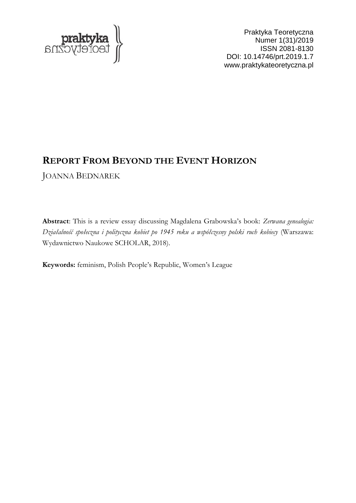

Praktyka Teoretyczna Numer 1(31)/2019 ISSN 2081-8130 DOI: 10.14746/prt.2019.1.7 www.praktykateoretyczna.pl

## **REPORT FROM BEYOND THE EVENT HORIZON**

JOANNA BEDNAREK

**Abstract**: This is a review essay discussing Magdalena Grabowska's book: *Zerwana genealogia: Działalność społeczna i polityczna kobiet po 1945 roku a współczesny polski ruch kobiecy* (Warszawa: Wydawnictwo Naukowe SCHOLAR, 2018).

**Keywords:** feminism, Polish People's Republic, Women's League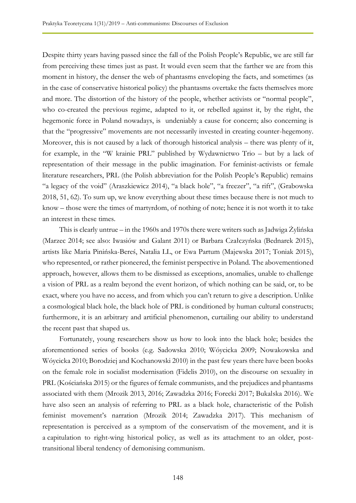Despite thirty years having passed since the fall of the Polish People's Republic, we are still far from perceiving these times just as past. It would even seem that the farther we are from this moment in history, the denser the web of phantasms enveloping the facts, and sometimes (as in the case of conservative historical policy) the phantasms overtake the facts themselves more and more. The distortion of the history of the people, whether activists or "normal people", who co-created the previous regime, adapted to it, or rebelled against it, by the right, the hegemonic force in Poland nowadays, is undeniably a cause for concern; also concerning is that the "progressive" movements are not necessarily invested in creating counter-hegemony. Moreover, this is not caused by a lack of thorough historical analysis – there was plenty of it, for example, in the "W krainie PRL" published by Wydawnictwo Trio – but by a lack of representation of their message in the public imagination. For feminist-activists or female literature researchers, PRL (the Polish abbreviation for the Polish People's Republic) remains "a legacy of the void" (Araszkiewicz 2014), "a black hole", "a freezer", "a rift", (Grabowska 2018, 51, 62). To sum up, we know everything about these times because there is not much to know – those were the times of martyrdom, of nothing of note; hence it is not worth it to take an interest in these times.

This is clearly untrue – in the 1960s and 1970s there were writers such as Jadwiga Żylińska (Marzec 2014; see also: Iwasiów and Galant 2011) or Barbara Czałczyńska (Bednarek 2015), artists like Maria Pinińska-Bereś, Natalia LL, or Ewa Partum (Majewska 2017; Toniak 2015), who represented, or rather pioneered, the feminist perspective in Poland. The abovementioned approach, however, allows them to be dismissed as exceptions, anomalies, unable to challenge a vision of PRL as a realm beyond the event horizon, of which nothing can be said, or, to be exact, where you have no access, and from which you can't return to give a description. Unlike a cosmological black hole, the black hole of PRL is conditioned by human cultural constructs; furthermore, it is an arbitrary and artificial phenomenon, curtailing our ability to understand the recent past that shaped us.

Fortunately, young researchers show us how to look into the black hole; besides the aforementioned series of books (e.g. Sadowska 2010; Wóycicka 2009; Nowakowska and Wóycicka 2010; Borodziej and Kochanowski 2010) in the past few years there have been books on the female role in socialist modernisation (Fidelis 2010), on the discourse on sexuality in PRL (Kościańska 2015) or the figures of female communists, and the prejudices and phantasms associated with them (Mrozik 2013, 2016; Zawadzka 2016; Forecki 2017; Bukalska 2016). We have also seen an analysis of referring to PRL as a black hole, characteristic of the Polish feminist movement's narration (Mrozik 2014; Zawadzka 2017). This mechanism of representation is perceived as a symptom of the conservatism of the movement, and it is a capitulation to right-wing historical policy, as well as its attachment to an older, posttransitional liberal tendency of demonising communism.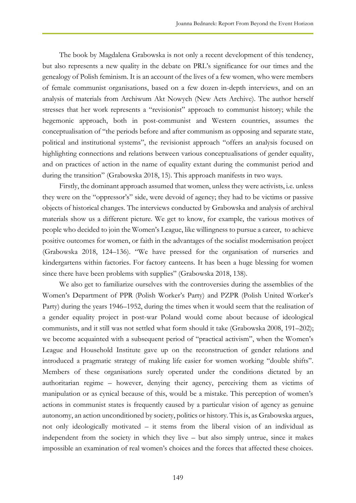The book by Magdalena Grabowska is not only a recent development of this tendency, but also represents a new quality in the debate on PRL's significance for our times and the genealogy of Polish feminism. It is an account of the lives of a few women, who were members of female communist organisations, based on a few dozen in-depth interviews, and on an analysis of materials from Archiwum Akt Nowych (New Acts Archive). The author herself stresses that her work represents a "revisionist" approach to communist history; while the hegemonic approach, both in post-communist and Western countries, assumes the conceptualisation of "the periods before and after communism as opposing and separate state, political and institutional systems", the revisionist approach "offers an analysis focused on highlighting connections and relations between various conceptualisations of gender equality, and on practices of action in the name of equality extant during the communist period and during the transition" (Grabowska 2018, 15). This approach manifests in two ways.

Firstly, the dominant approach assumed that women, unless they were activists, i.e. unless they were on the "oppressor's" side, were devoid of agency; they had to be victims or passive objects of historical changes. The interviews conducted by Grabowska and analysis of archival materials show us a different picture. We get to know, for example, the various motives of people who decided to join the Women's League, like willingness to pursue a career, to achieve positive outcomes for women, or faith in the advantages of the socialist modernisation project (Grabowska 2018, 124–136). "We have pressed for the organisation of nurseries and kindergartens within factories. For factory canteens. It has been a huge blessing for women since there have been problems with supplies" (Grabowska 2018, 138).

We also get to familiarize ourselves with the controversies during the assemblies of the Women's Department of PPR (Polish Worker's Party) and PZPR (Polish United Worker's Party) during the years 1946–1952, during the times when it would seem that the realisation of a gender equality project in post-war Poland would come about because of ideological communists, and it still was not settled what form should it take (Grabowska 2008, 191–202); we become acquainted with a subsequent period of "practical activism", when the Women's League and Household Institute gave up on the reconstruction of gender relations and introduced a pragmatic strategy of making life easier for women working "double shifts". Members of these organisations surely operated under the conditions dictated by an authoritarian regime – however, denying their agency, perceiving them as victims of manipulation or as cynical because of this, would be a mistake. This perception of women's actions in communist states is frequently caused by a particular vision of agency as genuine autonomy, an action unconditioned by society, politics or history. This is, as Grabowska argues, not only ideologically motivated – it stems from the liberal vision of an individual as independent from the society in which they live – but also simply untrue, since it makes impossible an examination of real women's choices and the forces that affected these choices.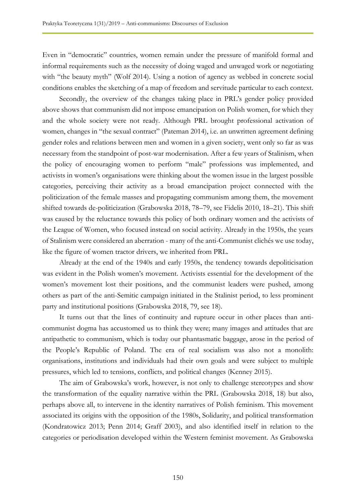Even in "democratic" countries, women remain under the pressure of manifold formal and informal requirements such as the necessity of doing waged and unwaged work or negotiating with "the beauty myth" (Wolf 2014). Using a notion of agency as webbed in concrete social conditions enables the sketching of a map of freedom and servitude particular to each context.

Secondly, the overview of the changes taking place in PRL's gender policy provided above shows that communism did not impose emancipation on Polish women, for which they and the whole society were not ready. Although PRL brought professional activation of women, changes in "the sexual contract" (Pateman 2014), i.e. an unwritten agreement defining gender roles and relations between men and women in a given society, went only so far as was necessary from the standpoint of post-war modernisation. After a few years of Stalinism, when the policy of encouraging women to perform "male" professions was implemented, and activists in women's organisations were thinking about the women issue in the largest possible categories, perceiving their activity as a broad emancipation project connected with the politicization of the female masses and propagating communism among them, the movement shifted towards de-politicization (Grabowska 2018, 78–79, see Fidelis 2010, 18–21). This shift was caused by the reluctance towards this policy of both ordinary women and the activists of the League of Women, who focused instead on social activity. Already in the 1950s, the years of Stalinism were considered an aberration - many of the anti-Communist clichés we use today, like the figure of women tractor drivers, we inherited from PRL.

Already at the end of the 1940s and early 1950s, the tendency towards depoliticisation was evident in the Polish women's movement. Activists essential for the development of the women's movement lost their positions, and the communist leaders were pushed, among others as part of the anti-Semitic campaign initiated in the Stalinist period, to less prominent party and institutional positions (Grabowska 2018, 79, see 18).

It turns out that the lines of continuity and rupture occur in other places than anticommunist dogma has accustomed us to think they were; many images and attitudes that are antipathetic to communism, which is today our phantasmatic baggage, arose in the period of the People's Republic of Poland. The era of real socialism was also not a monolith: organisations, institutions and individuals had their own goals and were subject to multiple pressures, which led to tensions, conflicts, and political changes (Kenney 2015).

The aim of Grabowska's work, however, is not only to challenge stereotypes and show the transformation of the equality narrative within the PRL (Grabowska 2018, 18) but also, perhaps above all, to intervene in the identity narratives of Polish feminism. This movement associated its origins with the opposition of the 1980s, Solidarity, and political transformation (Kondratowicz 2013; Penn 2014; Graff 2003), and also identified itself in relation to the categories or periodisation developed within the Western feminist movement. As Grabowska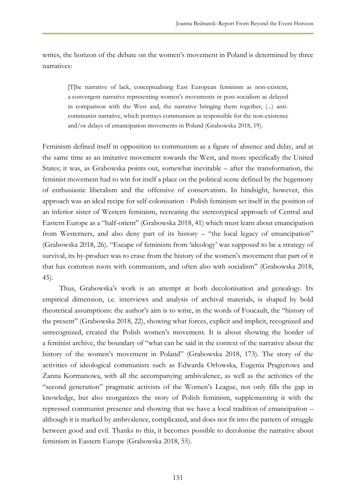writes, the horizon of the debate on the women's movement in Poland is determined by three narratives:

[T]he narrative of lack, conceptualising East European feminism as non-existent, a convergent narrative representing women's movements in post-socialism as delayed in comparison with the West and, the narrative bringing them together, (...) anticommunist narrative, which portrays communism as responsible for the non-existence and/or delays of emancipation movements in Poland (Grabowska 2018, 19).

Feminism defined itself in opposition to communism as a figure of absence and delay, and at the same time as an imitative movement towards the West, and more specifically the United States; it was, as Grabowska points out, somewhat inevitable – after the transformation, the feminist movement had to win for itself a place on the political scene defined by the hegemony of enthusiastic liberalism and the offensive of conservatism. In hindsight, however, this approach was an ideal recipe for self-colonisation - Polish feminism set itself in the position of an inferior sister of Western feminism, recreating the stereotypical approach of Central and Eastern Europe as a "half-orient" (Grabowska 2018, 41) which must learn about emancipation from Westerners, and also deny part of its history – "the local legacy of emancipation" (Grabowska 2018, 26). "Escape of feminism from 'ideology' was supposed to be a strategy of survival, its by-product was to erase from the history of the women's movement that part of it that has common roots with communism, and often also with socialism" (Grabowska 2018, 45).

Thus, Grabowska's work is an attempt at both decolonisation and genealogy. Its empirical dimension, i.e. interviews and analysis of archival materials, is shaped by bold theoretical assumptions: the author's aim is to write, in the words of Foucault, the "history of the present" (Grabowska 2018, 22), showing what forces, explicit and implicit, recognized and unrecognized, created the Polish women's movement. It is about showing the border of a feminist archive, the boundary of "what can be said in the context of the narrative about the history of the women's movement in Poland" (Grabowska 2018, 173). The story of the activities of ideological communists such as Edwarda Orłowska, Eugenia Pragierowa and Żanna Kormanowa, with all the accompanying ambivalence, as well as the activities of the "second generation" pragmatic activists of the Women's League, not only fills the gap in knowledge, but also reorganizes the story of Polish feminism, supplementing it with the repressed communist presence and showing that we have a local tradition of emancipation – although it is marked by ambivalence, complicated, and does not fit into the pattern of struggle between good and evil. Thanks to this, it becomes possible to decolonise the narrative about feminism in Eastern Europe (Grabowska 2018, 55).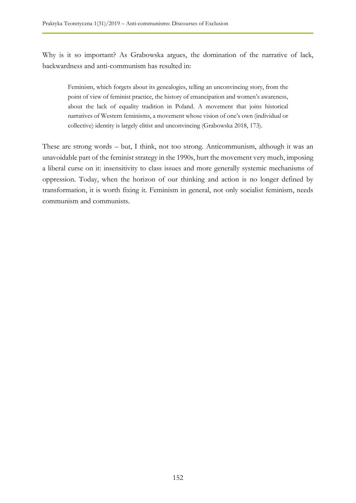Why is it so important? As Grabowska argues, the domination of the narrative of lack, backwardness and anti-communism has resulted in:

Feminism, which forgets about its genealogies, telling an unconvincing story, from the point of view of feminist practice, the history of emancipation and women's awareness, about the lack of equality tradition in Poland. A movement that joins historical narratives of Western feminisms, a movement whose vision of one's own (individual or collective) identity is largely elitist and unconvincing (Grabowska 2018, 173).

These are strong words – but, I think, not too strong. Anticommunism, although it was an unavoidable part of the feminist strategy in the 1990s, hurt the movement very much, imposing a liberal curse on it: insensitivity to class issues and more generally systemic mechanisms of oppression. Today, when the horizon of our thinking and action is no longer defined by transformation, it is worth fixing it. Feminism in general, not only socialist feminism, needs communism and communists.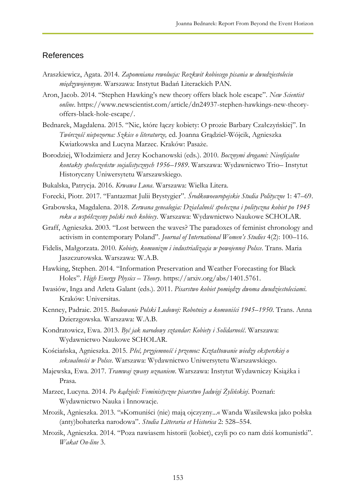## References

- Araszkiewicz, Agata. 2014. *Zapomniana rewolucja: Rozkwit kobiecego pisania w dwudziestoleciu międzywojennym*. Warszawa: Instytut Badań Literackich PAN.
- Aron, Jacob. 2014. "Stephen Hawking's new theory offers black hole escape". *New Scientist online*. https://www.newscientist.com/article/dn24937-stephen-hawkings-new-theoryoffers-black-hole-escape/.
- Bednarek, Magdalena. 2015. "Nic, które łączy kobiety: O prozie Barbary Czałczyńskiej". In *Twórczość niepozorna: Szkice o literaturze,* ed. Joanna Grądziel-Wójcik, Agnieszka Kwiatkowska and Lucyna Marzec. Kraków: Pasaże.
- Borodziej, Włodzimierz and Jerzy Kochanowski (eds.). 2010. *Bocznymi drogami: Nieoficjalne kontakty społeczeństw socjalistycznych 1956–1989*. Warszawa: Wydawnictwo Trio– Instytut Historyczny Uniwersytetu Warszawskiego.
- Bukalska, Patrycja. 2016. *Krwawa Luna*. Warszawa: Wielka Litera.
- Forecki, Piotr. 2017. "Fantazmat Julii Brystygier". *Środkowoeuropejskie Studia Polityczne* 1: 47–69.
- Grabowska, Magdalena. 2018. *Zerwana genealogia: Działalność społeczna i polityczna kobiet po 1945 roku a współczesny polski ruch kobiecy*. Warszawa: Wydawnictwo Naukowe SCHOLAR.
- Graff, Agnieszka. 2003. "Lost between the waves? The paradoxes of feminist chronology and activism in contemporary Poland". *Journal of International Women's Studies* 4(2): 100–116.
- Fidelis, Małgorzata. 2010. *Kobiety, komunizm i industrializacja w powojennej Polsce*. Trans. Maria Jaszczurowska. Warszawa: W.A.B.
- Hawking, Stephen. 2014. "Information Preservation and Weather Forecasting for Black Holes". *High Energy Physics – Theory*. https://arxiv.org/abs/1401.5761.
- Iwasiów, Inga and Arleta Galant (eds.). 2011. *Pisarstwo kobiet pomiędzy dwoma dwudziestoleciami*. Kraków: Universitas.
- Kenney, Padraic. 2015. *Budowanie Polski Ludowej: Robotnicy a komuniści 1945–1950*. Trans. Anna Dzierzgowska. Warszawa: W.A.B.
- Kondratowicz, Ewa. 2013. *Być jak narodowy sztandar: Kobiety i Solidarność*. Warszawa: Wydawnictwo Naukowe SCHOLAR.
- Kościańska, Agnieszka. 2015. *Płeć, przyjemność i przemoc: Kształtowanie wiedzy eksperckiej o seksualności w Polsce*. Warszawa: Wydawnictwo Uniwersytetu Warszawskiego.
- Majewska, Ewa. 2017. *Tramwaj zwany uznaniem*. Warszawa: Instytut Wydawniczy Książka i Prasa.
- Marzec, Lucyna. 2014. *Po kądzieli: Feministyczne pisarstwo Jadwigi Żylińskiej*. Poznań: Wydawnictwo Nauka i Innowacje.
- Mrozik, Agnieszka. 2013. "»Komuniści (nie) mają ojczyzny...« Wanda Wasilewska jako polska (anty)bohaterka narodowa". *Studia Litteraria et Historica* 2: 528–554.
- Mrozik, Agnieszka. 2014. "Poza nawiasem historii (kobiet), czyli po co nam dziś komunistki". *Wakat On-line* 3.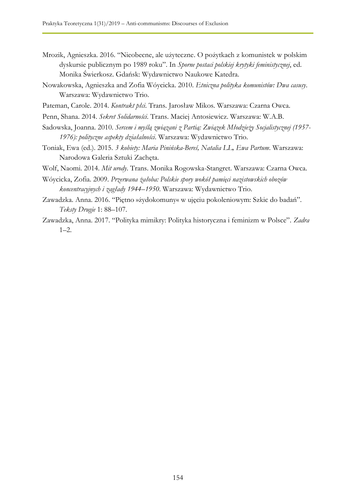- Mrozik, Agnieszka. 2016. "Nieobecne, ale użyteczne. O pożytkach z komunistek w polskim dyskursie publicznym po 1989 roku". In *Sporne postaci polskiej krytyki feministycznej*, ed. Monika Świerkosz. Gdańsk: Wydawnictwo Naukowe Katedra.
- Nowakowska, Agnieszka and Zofia Wóycicka. 2010. *Etniczna polityka komunistów: Dwa casusy*. Warszawa: Wydawnictwo Trio.
- Pateman, Carole. 2014. *Kontrakt płci*. Trans. Jarosław Mikos. Warszawa: Czarna Owca.
- Penn, Shana. 2014. *Sekret Solidarności*. Trans. Maciej Antosiewicz. Warszawa: W.A.B.
- Sadowska, Joanna. 2010. *Sercem i myślą związani z Partią: Związek Młodzieży Socjalistycznej (1957- 1976): polityczne aspekty działalności*. Warszawa: Wydawnictwo Trio.
- Toniak, Ewa (ed.). 2015. *3 kobiety: Maria Pinińska-Bereś, Natalia LL, Ewa Partum*. Warszawa: Narodowa Galeria Sztuki Zachęta.
- Wolf, Naomi. 2014. *Mit urody*. Trans. Monika Rogowska-Stangret. Warszawa: Czarna Owca.
- Wóycicka, Zofia. 2009. *Przerwana żałoba: Polskie spory wokół pamięci nazistowskich obozów koncentracyjnych i zagłady 1944–1950*. Warszawa: Wydawnictwo Trio.
- Zawadzka. Anna. 2016. "Piętno »żydokomuny« w ujęciu pokoleniowym: Szkic do badań". *Teksty Drugie* 1: 88–107.
- Zawadzka, Anna. 2017. "Polityka mimikry: Polityka historyczna i feminizm w Polsce". *Zadra*  $1 - 2$ .